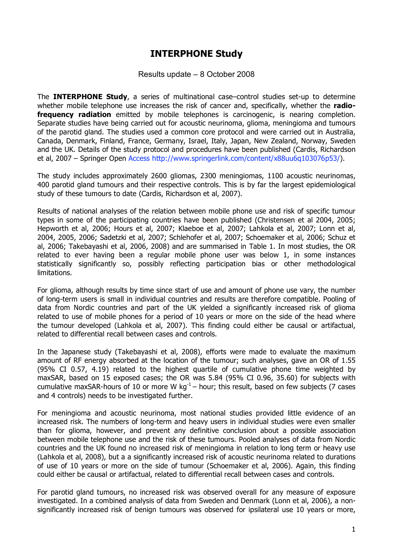## **INTERPHONE Study**

Results update – 8 October 2008

The **INTERPHONE Study**, a series of multinational case–control studies set-up to determine whether mobile telephone use increases the risk of cancer and, specifically, whether the **radiofrequency radiation** emitted by mobile telephones is carcinogenic, is nearing completion. Separate studies have being carried out for acoustic neurinoma, glioma, meningioma and tumours of the parotid gland. The studies used a common core protocol and were carried out in Australia, Canada, Denmark, Finland, France, Germany, Israel, Italy, Japan, New Zealand, Norway, Sweden and the UK. Details of the study protocol and procedures have been published (Cardis, Richardson et al, 2007 – Springer Open Access http://www.springerlink.com/content/x88uu6q103076p53/).

The study includes approximately 2600 gliomas, 2300 meningiomas, 1100 acoustic neurinomas, 400 parotid gland tumours and their respective controls. This is by far the largest epidemiological study of these tumours to date (Cardis, Richardson et al, 2007).

Results of national analyses of the relation between mobile phone use and risk of specific tumour types in some of the participating countries have been published (Christensen et al 2004, 2005; Hepworth et al, 2006; Hours et al, 2007; Klaeboe et al, 2007; Lahkola et al, 2007; Lonn et al, 2004, 2005, 2006; Sadetzki et al, 2007; Schlehofer et al, 2007; Schoemaker et al, 2006; Schuz et al, 2006; Takebayashi et al, 2006, 2008) and are summarised in Table 1. In most studies, the OR related to ever having been a regular mobile phone user was below 1, in some instances statistically significantly so, possibly reflecting participation bias or other methodological limitations.

For glioma, although results by time since start of use and amount of phone use vary, the number of long-term users is small in individual countries and results are therefore compatible. Pooling of data from Nordic countries and part of the UK yielded a significantly increased risk of glioma related to use of mobile phones for a period of 10 years or more on the side of the head where the tumour developed (Lahkola et al, 2007). This finding could either be causal or artifactual, related to differential recall between cases and controls.

In the Japanese study (Takebayashi et al, 2008), efforts were made to evaluate the maximum amount of RF energy absorbed at the location of the tumour; such analyses, gave an OR of 1.55 (95% CI 0.57, 4.19) related to the highest quartile of cumulative phone time weighted by maxSAR, based on 15 exposed cases; the OR was 5.84 (95% CI 0.96, 35.60) for subjects with cumulative maxSAR-hours of 10 or more W kg<sup>-1</sup> – hour; this result, based on few subjects (7 cases and 4 controls) needs to be investigated further.

For meningioma and acoustic neurinoma, most national studies provided little evidence of an increased risk. The numbers of long-term and heavy users in individual studies were even smaller than for glioma, however, and prevent any definitive conclusion about a possible association between mobile telephone use and the risk of these tumours. Pooled analyses of data from Nordic countries and the UK found no increased risk of meningioma in relation to long term or heavy use (Lahkola et al, 2008), but a a significantly increased risk of acoustic neurinoma related to durations of use of 10 years or more on the side of tumour (Schoemaker et al, 2006). Again, this finding could either be causal or artifactual, related to differential recall between cases and controls.

For parotid gland tumours, no increased risk was observed overall for any measure of exposure investigated. In a combined analysis of data from Sweden and Denmark (Lonn et al, 2006), a nonsignificantly increased risk of benign tumours was observed for ipsilateral use 10 years or more,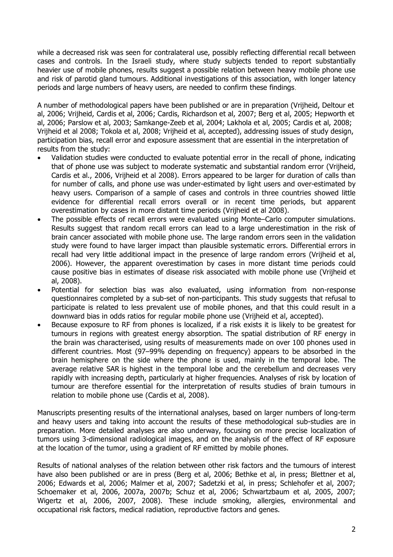while a decreased risk was seen for contralateral use, possibly reflecting differential recall between cases and controls. In the Israeli study, where study subjects tended to report substantially heavier use of mobile phones, results suggest a possible relation between heavy mobile phone use and risk of parotid gland tumours. Additional investigations of this association, with longer latency periods and large numbers of heavy users, are needed to confirm these findings.

A number of methodological papers have been published or are in preparation (Vrijheid, Deltour et al, 2006; Vrijheid, Cardis et al, 2006; Cardis, Richardson et al, 2007; Berg et al, 2005; Hepworth et al, 2006; Parslow et al, 2003; Samkange-Zeeb et al, 2004; Lakhola et al, 2005; Cardis et al, 2008; Vrijheid et al 2008; Tokola et al, 2008; Vrijheid et al, accepted), addressing issues of study design, participation bias, recall error and exposure assessment that are essential in the interpretation of results from the study:

- Validation studies were conducted to evaluate potential error in the recall of phone, indicating that of phone use was subject to moderate systematic and substantial random error (Vrijheid, Cardis et al., 2006, Vrijheid et al 2008). Errors appeared to be larger for duration of calls than for number of calls, and phone use was under-estimated by light users and over-estimated by heavy users. Comparison of a sample of cases and controls in three countries showed little evidence for differential recall errors overall or in recent time periods, but apparent overestimation by cases in more distant time periods (Vrijheid et al 2008).
- The possible effects of recall errors were evaluated using Monte–Carlo computer simulations. Results suggest that random recall errors can lead to a large underestimation in the risk of brain cancer associated with mobile phone use. The large random errors seen in the validation study were found to have larger impact than plausible systematic errors. Differential errors in recall had very little additional impact in the presence of large random errors (Vrijheid et al, 2006). However, the apparent overestimation by cases in more distant time periods could cause positive bias in estimates of disease risk associated with mobile phone use (Vrijheid et al, 2008).
- Potential for selection bias was also evaluated, using information from non-response questionnaires completed by a sub-set of non-participants. This study suggests that refusal to participate is related to less prevalent use of mobile phones, and that this could result in a downward bias in odds ratios for regular mobile phone use (Vrijheid et al, accepted).
- Because exposure to RF from phones is localized, if a risk exists it is likely to be greatest for tumours in regions with greatest energy absorption. The spatial distribution of RF energy in the brain was characterised, using results of measurements made on over 100 phones used in different countries. Most (97–99% depending on frequency) appears to be absorbed in the brain hemisphere on the side where the phone is used, mainly in the temporal lobe. The average relative SAR is highest in the temporal lobe and the cerebellum and decreases very rapidly with increasing depth, particularly at higher frequencies. Analyses of risk by location of tumour are therefore essential for the interpretation of results studies of brain tumours in relation to mobile phone use (Cardis et al, 2008).

Manuscripts presenting results of the international analyses, based on larger numbers of long-term and heavy users and taking into account the results of these methodological sub-studies are in preparation. More detailed analyses are also underway, focusing on more precise localization of tumors using 3-dimensional radiological images, and on the analysis of the effect of RF exposure at the location of the tumor, using a gradient of RF emitted by mobile phones.

Results of national analyses of the relation between other risk factors and the tumours of interest have also been published or are in press (Berg et al, 2006; Bethke et al, in press; Blettner et al, 2006; Edwards et al, 2006; Malmer et al, 2007; Sadetzki et al, in press; Schlehofer et al, 2007; Schoemaker et al, 2006, 2007a, 2007b; Schuz et al, 2006; Schwartzbaum et al, 2005, 2007; Wigertz et al, 2006, 2007, 2008). These include smoking, allergies, environmental and occupational risk factors, medical radiation, reproductive factors and genes.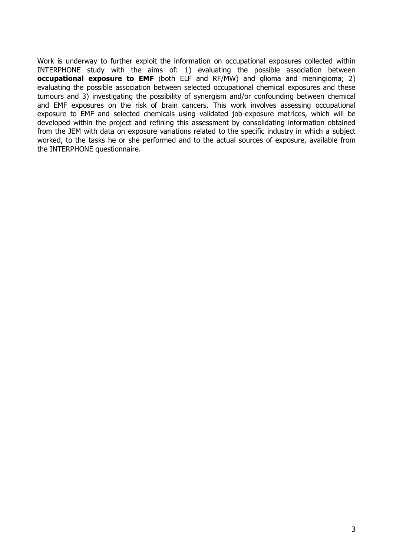Work is underway to further exploit the information on occupational exposures collected within INTERPHONE study with the aims of: 1) evaluating the possible association between **occupational exposure to EMF** (both ELF and RF/MW) and glioma and meningioma; 2) evaluating the possible association between selected occupational chemical exposures and these tumours and 3) investigating the possibility of synergism and/or confounding between chemical and EMF exposures on the risk of brain cancers. This work involves assessing occupational exposure to EMF and selected chemicals using validated job-exposure matrices, which will be developed within the project and refining this assessment by consolidating information obtained from the JEM with data on exposure variations related to the specific industry in which a subject worked, to the tasks he or she performed and to the actual sources of exposure, available from the INTERPHONE questionnaire.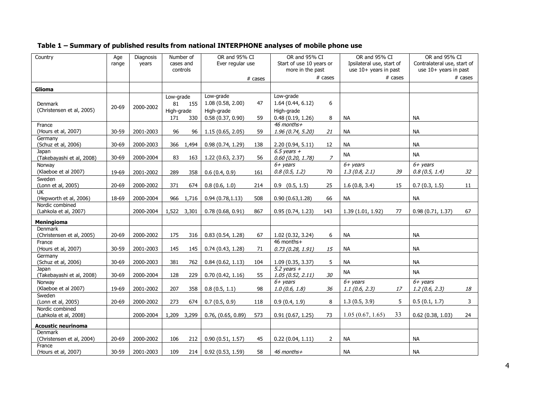## **Table 1 – Summary of published results from national INTERPHONE analyses of mobile phone use**

| Country                                     | Age<br>range | Diagnosis<br>years | Number of<br>cases and |             | OR and 95% CI<br>Ever regular use |            | OR and 95% CI<br>Start of use 10 years or |                | OR and 95% CI<br>Ipsilateral use, start of |    | OR and 95% CI<br>Contralateral use, start of |              |
|---------------------------------------------|--------------|--------------------|------------------------|-------------|-----------------------------------|------------|-------------------------------------------|----------------|--------------------------------------------|----|----------------------------------------------|--------------|
|                                             |              |                    |                        | controls    |                                   |            | more in the past<br># cases               |                | use 10+ years in past                      |    | use 10+ years in past                        |              |
|                                             |              |                    |                        |             |                                   | $\#$ cases |                                           |                | $# \; \text{cases}$                        |    | $# \; \text{cases}$                          |              |
| Glioma                                      |              |                    |                        |             |                                   |            |                                           |                |                                            |    |                                              |              |
|                                             |              |                    | Low-grade              |             | Low-grade                         |            | Low-grade                                 |                |                                            |    |                                              |              |
| <b>Denmark</b><br>(Christensen et al, 2005) | $20 - 69$    | 2000-2002          | 81                     | 155         | 1.08(0.58, 2.00)                  | 47         | 1.64(0.44, 6.12)                          | $6\,$          |                                            |    |                                              |              |
|                                             |              |                    | High-grade             |             | High-grade                        |            | High-grade                                |                |                                            |    |                                              |              |
|                                             |              |                    | 171                    | 330         | 0.58(0.37, 0.90)                  | 59         | 0.48(0.19, 1.26)                          | 8              | NА                                         |    | <b>NA</b>                                    |              |
| France                                      |              |                    |                        |             |                                   |            | 46 months+                                |                |                                            |    |                                              |              |
| (Hours et al, 2007)                         | 30-59        | 2001-2003          | 96                     | 96          | 1.15(0.65, 2.05)                  | 59         | 1.96(0.74, 5.20)                          | 21             | NА                                         |    | <b>NA</b>                                    |              |
| Germany<br>(Schuz et al, 2006)              | $30 - 69$    | 2000-2003          | 366                    | 1,494       | 0.98(0.74, 1.29)                  | 138        | 2.20(0.94, 5.11)                          | 12             | <b>NA</b>                                  |    | <b>NA</b>                                    |              |
| Japan                                       |              |                    |                        |             |                                   |            | 6.5 years $+$                             |                |                                            |    |                                              |              |
| (Takebayashi et al, 2008)                   | $30 - 69$    | 2000-2004          | 83                     | 163         | 1.22 (0.63, 2.37)                 | 56         | 0.60(0.20, 1.78)                          | $\overline{z}$ | <b>NA</b>                                  |    | <b>NA</b>                                    |              |
| Norway                                      |              |                    |                        |             |                                   |            | $6 + \text{ years}$                       |                | $6 + \text{years}$                         |    | $6 + years$                                  |              |
| (Klaeboe et al 2007)                        | 19-69        | 2001-2002          | 289                    | 358         | 0.6(0.4, 0.9)                     | 161        | 0.8(0.5, 1.2)                             | 70             | 1.3(0.8, 2.1)                              | 39 | 0.8(0.5, 1.4)                                | 32           |
| Sweden                                      |              |                    |                        |             |                                   |            |                                           |                |                                            |    |                                              |              |
| (Lonn et al, 2005)                          | $20 - 69$    | 2000-2002          | 371                    | 674         | 0.8(0.6, 1.0)                     | 214        | $0.9$ $(0.5, 1.5)$                        | 25             | 1.6(0.8, 3.4)                              | 15 | 0.7(0.3, 1.5)                                | 11           |
| UK                                          |              |                    |                        |             |                                   |            |                                           |                |                                            |    |                                              |              |
| (Hepworth et al, 2006)<br>Nordic combined   | 18-69        | 2000-2004          | 966                    | 1,716       | 0.94(0.78, 1.13)                  | 508        | 0.90(0.63, 1.28)                          | 66             | <b>NA</b>                                  |    | <b>NA</b>                                    |              |
| (Lahkola et al, 2007)                       |              | 2000-2004          |                        | 1,522 3,301 | 0.78(0.68, 0.91)                  | 867        | 0.95(0.74, 1.23)                          | 143            | 1.39(1.01, 1.92)                           | 77 | 0.98(0.71, 1.37)                             | 67           |
|                                             |              |                    |                        |             |                                   |            |                                           |                |                                            |    |                                              |              |
| Meningioma                                  |              |                    |                        |             |                                   |            |                                           |                |                                            |    |                                              |              |
| Denmark<br>(Christensen et al, 2005)        | $20 - 69$    | 2000-2002          | 175                    | 316         | 0.83(0.54, 1.28)                  | 67         | 1.02 (0.32, 3.24)                         | 6              | <b>NA</b>                                  |    | <b>NA</b>                                    |              |
| France                                      |              |                    |                        |             |                                   |            | 46 months+                                |                |                                            |    |                                              |              |
| (Hours et al, 2007)                         | 30-59        | 2001-2003          | 145                    | 145         | 0.74(0.43, 1.28)                  | 71         | 0.73(0.28, 1.91)                          | 15             | <b>NA</b>                                  |    | <b>NA</b>                                    |              |
| Germany                                     |              |                    |                        |             |                                   |            |                                           |                |                                            |    |                                              |              |
| (Schuz et al, 2006)                         | $30 - 69$    | 2000-2003          | 381                    | 762         | 0.84(0.62, 1.13)                  | 104        | 1.09(0.35, 3.37)                          | 5              | <b>NA</b>                                  |    | <b>NA</b>                                    |              |
| Japan                                       |              |                    |                        |             |                                   |            | 5.2 years $+$                             |                | <b>NA</b>                                  |    | <b>NA</b>                                    |              |
| (Takebayashi et al, 2008)                   | 30-69        | 2000-2004          | 128                    | 229         | 0.70(0.42, 1.16)                  | 55         | 1.05(0.52, 2.11)                          | 30             |                                            |    |                                              |              |
| Norway                                      |              |                    |                        |             |                                   |            | $6 + \text{ years}$                       |                | $6 + \text{ years}$                        |    | $6 + \text{ years}$                          |              |
| (Klaeboe et al 2007)<br>Sweden              | 19-69        | 2001-2002          | 207                    | 358         | 0.8(0.5, 1.1)                     | 98         | 1.0(0.6, 1.8)                             | 36             | 1.1(0.6, 2.3)                              | 17 | 1.2(0.6, 2.3)                                | 18           |
| (Lonn et al, 2005)                          | $20 - 69$    | 2000-2002          | 273                    | 674         | 0.7(0.5, 0.9)                     | 118        | 0.9(0.4, 1.9)                             | 8              | 1.3(0.5, 3.9)                              | 5  | 0.5(0.1, 1.7)                                | $\mathbf{3}$ |
| Nordic combined                             |              |                    |                        |             |                                   |            |                                           |                |                                            |    |                                              |              |
| (Lahkola et al, 2008)                       |              | 2000-2004          | 1,209                  | 3,299       | $0.76$ , $(0.65, 0.89)$           | 573        | 0.91(0.67, 1.25)                          | 73             | 1.05(0.67, 1.65)                           | 33 | 0.62(0.38, 1.03)                             | 24           |
| <b>Acoustic neurinoma</b>                   |              |                    |                        |             |                                   |            |                                           |                |                                            |    |                                              |              |
| Denmark                                     |              |                    |                        |             |                                   |            |                                           |                |                                            |    |                                              |              |
| (Christensen et al, 2004)                   | $20 - 69$    | 2000-2002          | 106                    | 212         | 0.90(0.51, 1.57)                  | 45         | 0.22(0.04, 1.11)                          | 2              | <b>NA</b>                                  |    | <b>NA</b>                                    |              |
| France                                      |              |                    |                        |             |                                   |            |                                           |                |                                            |    |                                              |              |
| (Hours et al, 2007)                         | $30 - 59$    | 2001-2003          | 109                    | 214         | 0.92(0.53, 1.59)                  | 58         | 46 months+                                |                | <b>NA</b>                                  |    | <b>NA</b>                                    |              |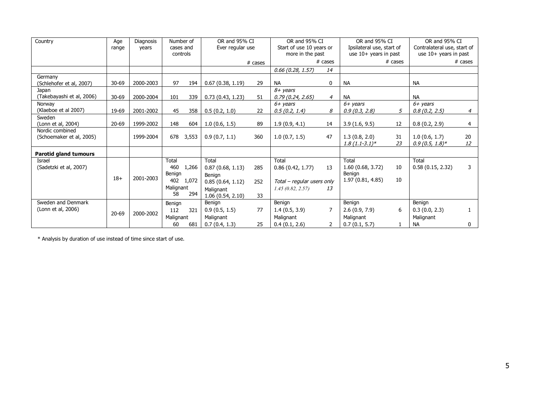| Country                      | Age       | Diagnosis | Number of<br>cases and<br>years<br>controls |         | OR and 95% CI<br>Ever regular use |                     | OR and 95% CI<br>Start of use 10 years or |                     | OR and 95% CI<br>Ipsilateral use, start of |                     | OR and 95% CI<br>Contralateral use, start of |                |
|------------------------------|-----------|-----------|---------------------------------------------|---------|-----------------------------------|---------------------|-------------------------------------------|---------------------|--------------------------------------------|---------------------|----------------------------------------------|----------------|
|                              | range     |           |                                             |         |                                   |                     |                                           |                     |                                            |                     |                                              |                |
|                              |           |           |                                             |         |                                   |                     | more in the past                          |                     | use $10+$ years in past                    |                     | use 10+ years in past                        |                |
|                              |           |           |                                             | # cases |                                   | $# \; \text{cases}$ |                                           | $# \; \text{cases}$ |                                            | $# \; \text{cases}$ |                                              |                |
|                              |           |           |                                             |         |                                   |                     | $0.66$ (0.28, 1.57)                       | 14                  |                                            |                     |                                              |                |
| Germany                      |           |           |                                             |         |                                   |                     |                                           |                     |                                            |                     |                                              |                |
| (Schlehofer et al, 2007)     | $30 - 69$ | 2000-2003 | 97                                          | 194     | 0.67(0.38, 1.19)                  | 29                  | <b>NA</b>                                 | 0                   | NА                                         |                     | <b>NA</b>                                    |                |
| Japan                        |           |           |                                             |         |                                   |                     | 8+ years                                  |                     |                                            |                     |                                              |                |
| (Takebayashi et al, 2006)    | $30 - 69$ | 2000-2004 | 101                                         | 339     | 0.73(0.43, 1.23)                  | 51                  | 0.79(0.24, 2.65)                          | $\overline{4}$      | <b>NA</b>                                  |                     | <b>NA</b>                                    |                |
| Norway                       |           |           |                                             |         |                                   |                     | $6 + \text{years}$                        |                     | $6 + \gamma$ ears                          |                     | $6+ \text{ years}$                           |                |
| (Klaeboe et al 2007)         | 19-69     | 2001-2002 | 45                                          | 358     | 0.5(0.2, 1.0)                     | 22                  | 0.5(0.2, 1.4)                             | 8                   | 0.9(0.3, 2.8)                              | 5                   | 0.8(0.2, 2.5)                                | $\overline{4}$ |
| Sweden                       |           |           |                                             |         |                                   |                     |                                           |                     |                                            |                     |                                              |                |
| (Lonn et al, 2004)           | $20 - 69$ | 1999-2002 | 148                                         | 604     | 1.0(0.6, 1.5)                     | 89                  | 1.9(0.9, 4.1)                             | 14                  | 3.9(1.6, 9.5)                              | 12                  | 0.8(0.2, 2.9)                                | $\overline{4}$ |
| Nordic combined              |           |           |                                             |         |                                   |                     |                                           |                     |                                            |                     |                                              |                |
| (Schoemaker et al, 2005)     |           | 1999-2004 | 678                                         | 3,553   | 0.9(0.7, 1.1)                     | 360                 | 1.0(0.7, 1.5)                             | 47                  | 1.3(0.8, 2.0)                              | 31                  | 1.0(0.6, 1.7)                                | 20             |
|                              |           |           |                                             |         |                                   |                     |                                           |                     | $1.8(1.1-3.1)*$                            | 23                  | $0.9(0.5, 1.8)$ *                            | 12             |
| <b>Parotid gland tumours</b> |           |           |                                             |         |                                   |                     |                                           |                     |                                            |                     |                                              |                |
| Israel                       |           |           | Total                                       |         | Total                             |                     | Total                                     |                     | Total                                      |                     | Total                                        |                |
| (Sadetzki et al, 2007)       |           |           | 460                                         | 1,266   | 0.87(0.68, 1.13)                  | 285                 | 0.86(0.42, 1.77)                          | 13                  | 1.60(0.68, 3.72)                           | 10                  | 0.58(0.15, 2.32)                             | 3              |
|                              |           |           | Benign                                      |         | Benign                            |                     |                                           |                     | Benign                                     |                     |                                              |                |
|                              | $18+$     | 2001-2003 | 402<br>1,072<br>Malignant                   |         | 0.85(0.64, 1.12)                  | 252                 | Total - regular users only                |                     | 1.97 (0.81, 4.85)                          | 10                  |                                              |                |
|                              |           |           |                                             |         | Malignant                         |                     | 1.45(0.82, 2.57)<br>13                    |                     |                                            |                     |                                              |                |
|                              |           |           | 58                                          | 294     | 1.06(0.54, 2.10)                  | 33                  |                                           |                     |                                            |                     |                                              |                |
| Sweden and Denmark           |           |           | Benign                                      |         | Benign                            |                     | Benign                                    |                     | Benign                                     |                     | Benign                                       |                |
| (Lonn et al, 2006)           | $20 - 69$ | 2000-2002 | 112                                         | 321     | 0.9(0.5, 1.5)                     | 77                  | 1.4(0.5, 3.9)                             | $\overline{7}$      | 2.6(0.9, 7.9)                              | 6                   | 0.3(0.0, 2.3)                                | $\mathbf{1}$   |
|                              |           |           | Malignant                                   |         | Malignant                         |                     | Malignant                                 |                     | Malignant                                  |                     | Malignant                                    |                |
|                              |           |           | 60                                          | 681     | 0.7(0.4, 1.3)                     | 25                  | 0.4(0.1, 2.6)                             | $\overline{2}$      | 0.7(0.1, 5.7)                              |                     | <b>NA</b>                                    | $\mathbf 0$    |

\* Analysis by duration of use instead of time since start of use.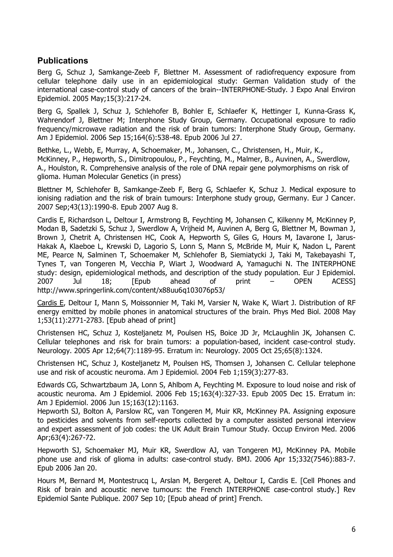## **Publications**

Berg G, Schuz J, Samkange-Zeeb F, Blettner M. Assessment of radiofrequency exposure from cellular telephone daily use in an epidemiological study: German Validation study of the international case-control study of cancers of the brain--INTERPHONE-Study. J Expo Anal Environ Epidemiol. 2005 May;15(3):217-24.

Berg G, Spallek J, Schuz J, Schlehofer B, Bohler E, Schlaefer K, Hettinger I, Kunna-Grass K, Wahrendorf J, Blettner M; Interphone Study Group, Germany. Occupational exposure to radio frequency/microwave radiation and the risk of brain tumors: Interphone Study Group, Germany. Am J Epidemiol. 2006 Sep 15;164(6):538-48. Epub 2006 Jul 27.

Bethke, L., Webb, E, Murray, A, Schoemaker, M., Johansen, C., Christensen, H., Muir, K., McKinney, P., Hepworth, S., Dimitropoulou, P., Feychting, M., Malmer, B., Auvinen, A., Swerdlow, A., Houlston, R. Comprehensive analysis of the role of DNA repair gene polymorphisms on risk of glioma. Human Molecular Genetics (in press)

Blettner M, Schlehofer B, Samkange-Zeeb F, Berg G, Schlaefer K, Schuz J. Medical exposure to ionising radiation and the risk of brain tumours: Interphone study group, Germany. Eur J Cancer. 2007 Sep;43(13):1990-8. Epub 2007 Aug 8.

Cardis E, Richardson L, Deltour I, Armstrong B, Feychting M, Johansen C, Kilkenny M, McKinney P, Modan B, Sadetzki S, Schuz J, Swerdlow A, Vrijheid M, Auvinen A, Berg G, Blettner M, Bowman J, Brown J, Chetrit A, Christensen HC, Cook A, Hepworth S, Giles G, Hours M, Iavarone I, Jarus-Hakak A, Klaeboe L, Krewski D, Lagorio S, Lonn S, Mann S, McBride M, Muir K, Nadon L, Parent ME, Pearce N, Salminen T, Schoemaker M, Schlehofer B, Siemiatycki J, Taki M, Takebayashi T, Tynes T, van Tongeren M, Vecchia P, Wiart J, Woodward A, Yamaguchi N. The INTERPHONE study: design, epidemiological methods, and description of the study population. Eur J Epidemiol. 2007 Jul 18; [Epub ahead of print – OPEN ACESS] http://www.springerlink.com/content/x88uu6q103076p53/

Cardis E, Deltour I, Mann S, Moissonnier M, Taki M, Varsier N, Wake K, Wiart J. Distribution of RF energy emitted by mobile phones in anatomical structures of the brain. Phys Med Biol. 2008 May 1;53(11):2771-2783. [Epub ahead of print]

Christensen HC, Schuz J, Kosteljanetz M, Poulsen HS, Boice JD Jr, McLaughlin JK, Johansen C. Cellular telephones and risk for brain tumors: a population-based, incident case-control study. Neurology. 2005 Apr 12;64(7):1189-95. Erratum in: Neurology. 2005 Oct 25;65(8):1324.

Christensen HC, Schuz J, Kosteljanetz M, Poulsen HS, Thomsen J, Johansen C. Cellular telephone use and risk of acoustic neuroma. Am J Epidemiol. 2004 Feb 1;159(3):277-83.

Edwards CG, Schwartzbaum JA, Lonn S, Ahlbom A, Feychting M. Exposure to loud noise and risk of acoustic neuroma. Am J Epidemiol. 2006 Feb 15;163(4):327-33. Epub 2005 Dec 15. Erratum in: Am J Epidemiol. 2006 Jun 15;163(12):1163.

Hepworth SJ, Bolton A, Parslow RC, van Tongeren M, Muir KR, McKinney PA. Assigning exposure to pesticides and solvents from self-reports collected by a computer assisted personal interview and expert assessment of job codes: the UK Adult Brain Tumour Study. Occup Environ Med. 2006 Apr;63(4):267-72.

Hepworth SJ, Schoemaker MJ, Muir KR, Swerdlow AJ, van Tongeren MJ, McKinney PA. Mobile phone use and risk of glioma in adults: case-control study. BMJ. 2006 Apr 15;332(7546):883-7. Epub 2006 Jan 20.

Hours M, Bernard M, Montestrucq L, Arslan M, Bergeret A, Deltour I, Cardis E. [Cell Phones and Risk of brain and acoustic nerve tumours: the French INTERPHONE case-control study.] Rev Epidemiol Sante Publique. 2007 Sep 10; [Epub ahead of print] French.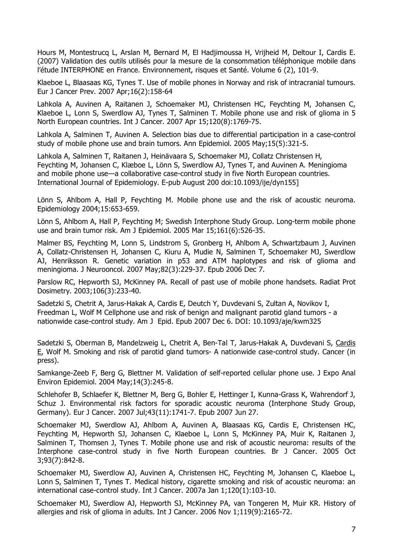Hours M, Montestrucq L, Arslan M, Bernard M, El Hadjimoussa H, Vrijheid M, Deltour I, Cardis E. (2007) Validation des outils utilisés pour la mesure de la consommation téléphonique mobile dans l'étude INTERPHONE en France. Environnement, risques et Santé. Volume 6 (2), 101-9.

Klaeboe L, Blaasaas KG, Tynes T. Use of mobile phones in Norway and risk of intracranial tumours. Eur J Cancer Prev. 2007 Apr;16(2):158-64

Lahkola A, Auvinen A, Raitanen J, Schoemaker MJ, Christensen HC, Feychting M, Johansen C, Klaeboe L, Lonn S, Swerdlow AJ, Tynes T, Salminen T. Mobile phone use and risk of glioma in 5 North European countries. Int J Cancer. 2007 Apr 15;120(8):1769-75.

Lahkola A, Salminen T, Auvinen A. Selection bias due to differential participation in a case-control study of mobile phone use and brain tumors. Ann Epidemiol. 2005 May;15(5):321-5.

Lahkola A, Salminen T, Raitanen J, Heinävaara S, Schoemaker MJ, Collatz Christensen H, Feychting M, Johansen C, Klæboe L, Lönn S, Swerdlow AJ, Tynes T, and Auvinen A. Meningioma and mobile phone use—a collaborative case-control study in five North European countries. International Journal of Epidemiology. E-pub August 200 doi:10.1093/ije/dyn155]

Lönn S, Ahlbom A, Hall P, Feychting M. Mobile phone use and the risk of acoustic neuroma. Epidemiology 2004;15:653-659.

Lönn S, Ahlbom A, Hall P, Feychting M; Swedish Interphone Study Group. Long-term mobile phone use and brain tumor risk. Am J Epidemiol. 2005 Mar 15;161(6):526-35.

Malmer BS, Feychting M, Lonn S, Lindstrom S, Gronberg H, Ahlbom A, Schwartzbaum J, Auvinen A, Collatz-Christensen H, Johansen C, Kiuru A, Mudie N, Salminen T, Schoemaker MJ, Swerdlow AJ, Henriksson R. Genetic variation in p53 and ATM haplotypes and risk of glioma and meningioma. J Neurooncol. 2007 May;82(3):229-37. Epub 2006 Dec 7.

Parslow RC, Hepworth SJ, McKinney PA. Recall of past use of mobile phone handsets. Radiat Prot Dosimetry. 2003;106(3):233-40.

Sadetzki S, Chetrit A, Jarus-Hakak A, Cardis E, Deutch Y, Duvdevani S, Zultan A, Novikov I, Freedman L, Wolf M Cellphone use and risk of benign and malignant parotid gland tumors - a nationwide case-control study. Am J Epid. Epub 2007 Dec 6. DOI: 10.1093/aje/kwm325

Sadetzki S, Oberman B, Mandelzweig L, Chetrit A, Ben-Tal T, Jarus-Hakak A, Duvdevani S, Cardis E, Wolf M. Smoking and risk of parotid gland tumors- A nationwide case-control study. Cancer (in press).

Samkange-Zeeb F, Berg G, Blettner M. Validation of self-reported cellular phone use. J Expo Anal Environ Epidemiol. 2004 May;14(3):245-8.

Schlehofer B, Schlaefer K, Blettner M, Berg G, Bohler E, Hettinger I, Kunna-Grass K, Wahrendorf J, Schuz J. Environmental risk factors for sporadic acoustic neuroma (Interphone Study Group, Germany). Eur J Cancer. 2007 Jul;43(11):1741-7. Epub 2007 Jun 27.

Schoemaker MJ, Swerdlow AJ, Ahlbom A, Auvinen A, Blaasaas KG, Cardis E, Christensen HC, Feychting M, Hepworth SJ, Johansen C, Klaeboe L, Lonn S, McKinney PA, Muir K, Raitanen J, Salminen T, Thomsen J, Tynes T. Mobile phone use and risk of acoustic neuroma: results of the Interphone case-control study in five North European countries. Br J Cancer. 2005 Oct 3;93(7):842-8.

Schoemaker MJ, Swerdlow AJ, Auvinen A, Christensen HC, Feychting M, Johansen C, Klaeboe L, Lonn S, Salminen T, Tynes T. Medical history, cigarette smoking and risk of acoustic neuroma: an international case-control study. Int J Cancer. 2007a Jan 1;120(1):103-10.

Schoemaker MJ, Swerdlow AJ, Hepworth SJ, McKinney PA, van Tongeren M, Muir KR. History of allergies and risk of glioma in adults. Int J Cancer. 2006 Nov 1;119(9):2165-72.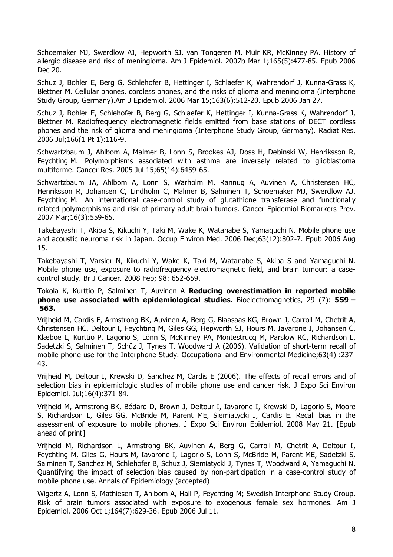Schoemaker MJ, Swerdlow AJ, Hepworth SJ, van Tongeren M, Muir KR, McKinney PA. History of allergic disease and risk of meningioma. Am J Epidemiol. 2007b Mar 1;165(5):477-85. Epub 2006 Dec 20.

Schuz J, Bohler E, Berg G, Schlehofer B, Hettinger I, Schlaefer K, Wahrendorf J, Kunna-Grass K, Blettner M. Cellular phones, cordless phones, and the risks of glioma and meningioma (Interphone Study Group, Germany).Am J Epidemiol. 2006 Mar 15;163(6):512-20. Epub 2006 Jan 27.

Schuz J, Bohler E, Schlehofer B, Berg G, Schlaefer K, Hettinger I, Kunna-Grass K, Wahrendorf J, Blettner M. Radiofrequency electromagnetic fields emitted from base stations of DECT cordless phones and the risk of glioma and meningioma (Interphone Study Group, Germany). Radiat Res. 2006 Jul;166(1 Pt 1):116-9.

Schwartzbaum J, Ahlbom A, Malmer B, Lonn S, Brookes AJ, Doss H, Debinski W, Henriksson R, Feychting M. Polymorphisms associated with asthma are inversely related to glioblastoma multiforme. Cancer Res. 2005 Jul 15;65(14):6459-65.

Schwartzbaum JA, Ahlbom A, Lonn S, Warholm M, Rannug A, Auvinen A, Christensen HC, Henriksson R, Johansen C, Lindholm C, Malmer B, Salminen T, Schoemaker MJ, Swerdlow AJ, Feychting M. An international case-control study of glutathione transferase and functionally related polymorphisms and risk of primary adult brain tumors. Cancer Epidemiol Biomarkers Prev. 2007 Mar;16(3):559-65.

Takebayashi T, Akiba S, Kikuchi Y, Taki M, Wake K, Watanabe S, Yamaguchi N. Mobile phone use and acoustic neuroma risk in Japan. Occup Environ Med. 2006 Dec;63(12):802-7. Epub 2006 Aug 15.

Takebayashi T, Varsier N, Kikuchi Y, Wake K, Taki M, Watanabe S, Akiba S and Yamaguchi N. Mobile phone use, exposure to radiofrequency electromagnetic field, and brain tumour: a casecontrol study. Br J Cancer. 2008 Feb; 98: 652-659.

## Tokola K, Kurttio P, Salminen T, Auvinen A **Reducing overestimation in reported mobile phone use associated with epidemiological studies.** Bioelectromagnetics, 29 (7): **559 – 563.**

Vrijheid M, Cardis E, Armstrong BK, Auvinen A, Berg G, Blaasaas KG, Brown J, Carroll M, Chetrit A, Christensen HC, Deltour I, Feychting M, Giles GG, Hepworth SJ, Hours M, Iavarone I, Johansen C, Klæboe L, Kurttio P, Lagorio S, Lönn S, McKinney PA, Montestrucq M, Parslow RC, Richardson L, Sadetzki S, Salminen T, Schüz J, Tynes T, Woodward A (2006). Validation of short-term recall of mobile phone use for the Interphone Study. Occupational and Environmental Medicine;63(4) :237- 43.

Vrijheid M, Deltour I, Krewski D, Sanchez M, Cardis E (2006). The effects of recall errors and of selection bias in epidemiologic studies of mobile phone use and cancer risk. J Expo Sci Environ Epidemiol. Jul;16(4):371-84.

Vrijheid M, Armstrong BK, Bédard D, Brown J, Deltour I, Iavarone I, Krewski D, Lagorio S, Moore S, Richardson L, Giles GG, McBride M, Parent ME, Siemiatycki J, Cardis E. Recall bias in the assessment of exposure to mobile phones. J Expo Sci Environ Epidemiol. 2008 May 21. [Epub ahead of print]

Vrijheid M, Richardson L, Armstrong BK, Auvinen A, Berg G, Carroll M, Chetrit A, Deltour I, Feychting M, Giles G, Hours M, Iavarone I, Lagorio S, Lonn S, McBride M, Parent ME, Sadetzki S, Salminen T, Sanchez M, Schlehofer B, Schuz J, Siemiatycki J, Tynes T, Woodward A, Yamaguchi N. Quantifying the impact of selection bias caused by non-participation in a case-control study of mobile phone use. Annals of Epidemiology (accepted)

Wigertz A, Lonn S, Mathiesen T, Ahlbom A, Hall P, Feychting M; Swedish Interphone Study Group. Risk of brain tumors associated with exposure to exogenous female sex hormones. Am J Epidemiol. 2006 Oct 1;164(7):629-36. Epub 2006 Jul 11.